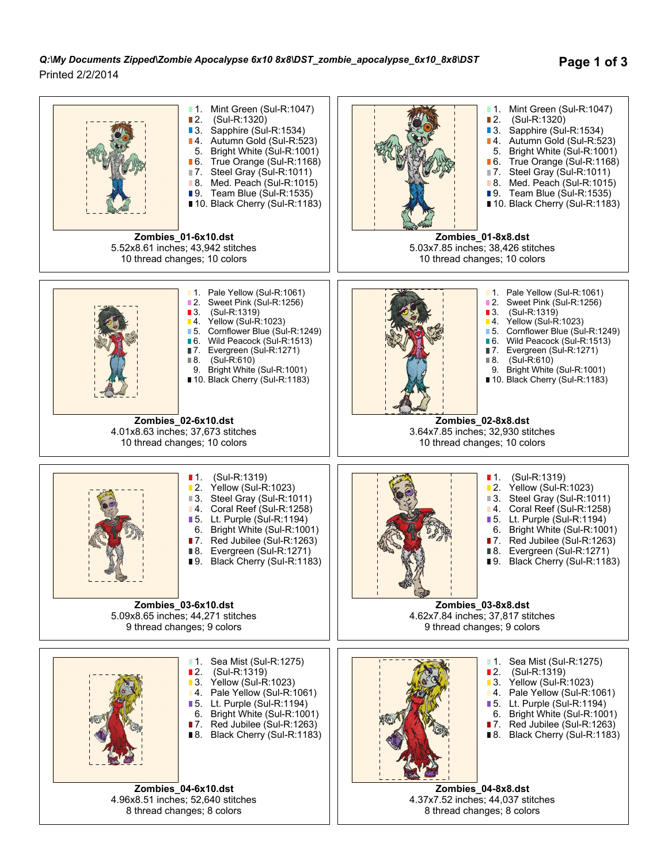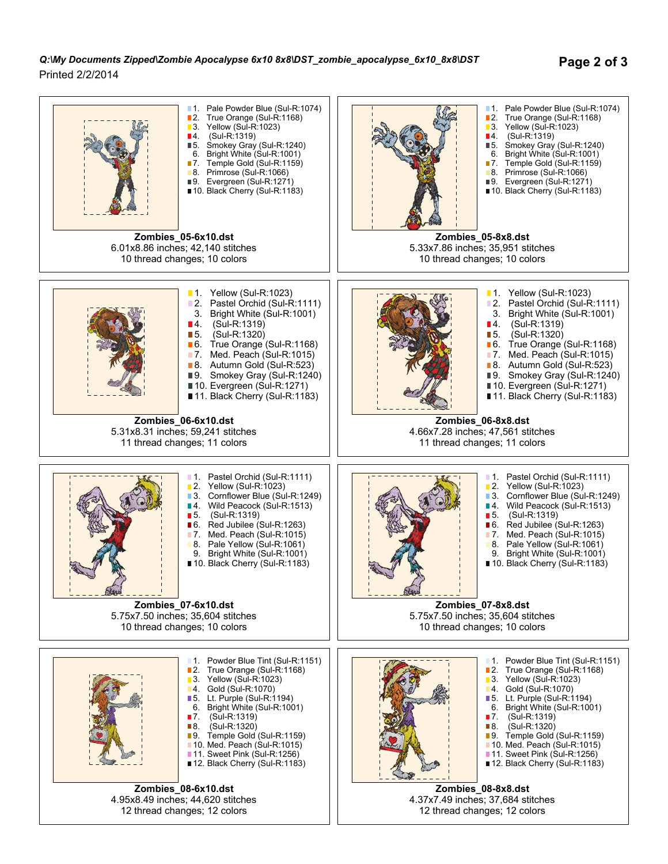